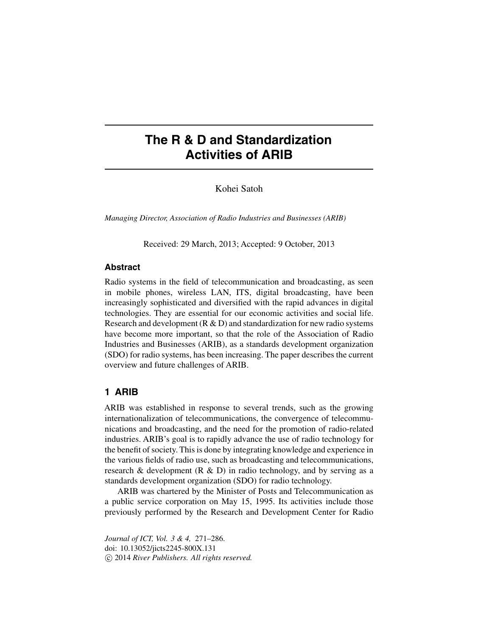# **The R & D and Standardization Activities of ARIB**

Kohei Satoh

*Managing Director, Association of Radio Industries and Businesses (ARIB)*

Received: 29 March, 2013; Accepted: 9 October, 2013

#### **Abstract**

Radio systems in the field of telecommunication and broadcasting, as seen in mobile phones, wireless LAN, ITS, digital broadcasting, have been increasingly sophisticated and diversified with the rapid advances in digital technologies. They are essential for our economic activities and social life. Research and development  $(R & D)$  and standardization for new radio systems have become more important, so that the role of the Association of Radio Industries and Businesses (ARIB), as a standards development organization (SDO) for radio systems, has been increasing. The paper describes the current overview and future challenges of ARIB.

## **1 ARIB**

ARIB was established in response to several trends, such as the growing internationalization of telecommunications, the convergence of telecommunications and broadcasting, and the need for the promotion of radio-related industries. ARIB's goal is to rapidly advance the use of radio technology for the benefit of society. This is done by integrating knowledge and experience in the various fields of radio use, such as broadcasting and telecommunications, research & development (R & D) in radio technology, and by serving as a standards development organization (SDO) for radio technology.

ARIB was chartered by the Minister of Posts and Telecommunication as a public service corporation on May 15, 1995. Its activities include those previously performed by the Research and Development Center for Radio

*Journal of ICT, Vol. 3 & 4,* 271–286. doi: 10.13052/jicts2245-800X.131 -c 2014 *River Publishers. All rights reserved.*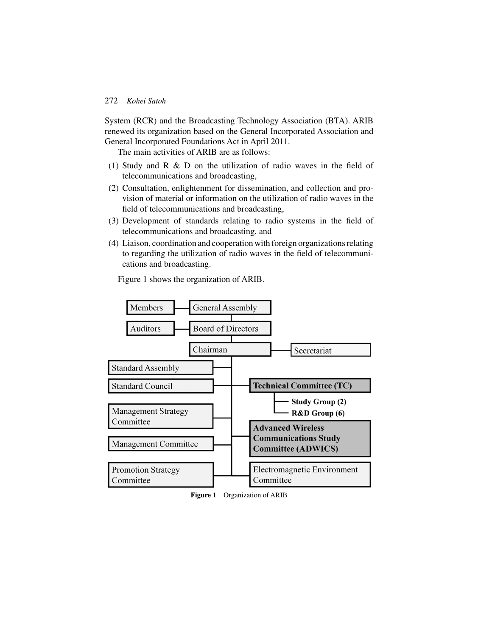System (RCR) and the Broadcasting Technology Association (BTA). ARIB renewed its organization based on the General Incorporated Association and General Incorporated Foundations Act in April 2011.

The main activities of ARIB are as follows:

- (1) Study and R & D on the utilization of radio waves in the field of telecommunications and broadcasting,
- (2) Consultation, enlightenment for dissemination, and collection and provision of material or information on the utilization of radio waves in the field of telecommunications and broadcasting,
- (3) Development of standards relating to radio systems in the field of telecommunications and broadcasting, and
- (4) Liaison, coordination and cooperation with foreign organizations relating to regarding the utilization of radio waves in the field of telecommunications and broadcasting.

Figure 1 shows the organization of ARIB.



**Figure 1** Organization of ARIB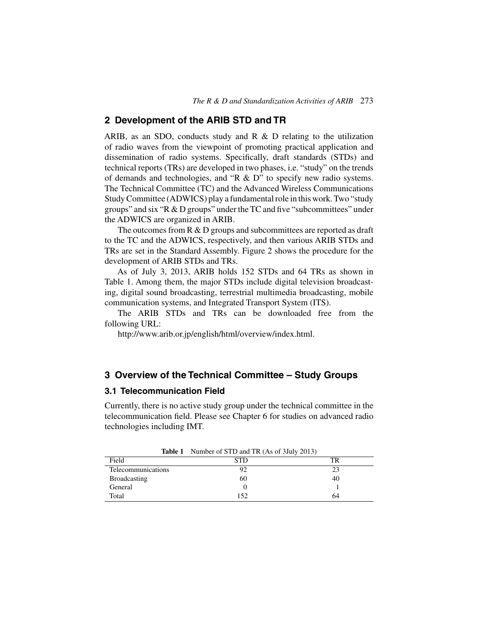## **2 Development of the ARIB STD and TR**

ARIB, as an SDO, conducts study and R  $\&$  D relating to the utilization of radio waves from the viewpoint of promoting practical application and dissemination of radio systems. Specifically, draft standards (STDs) and technical reports (TRs) are developed in two phases, i.e. "study" on the trends of demands and technologies, and "R & D" to specify new radio systems. The Technical Committee (TC) and the Advanced Wireless Communications Study Committee (ADWICS) play a fundamental role in this work. Two "study groups" and six "R & D groups" under the TC and five "subcommittees" under the ADWICS are organized in ARIB.

The outcomes from  $R \& D$  groups and subcommittees are reported as draft to the TC and the ADWICS, respectively, and then various ARIB STDs and TRs are set in the Standard Assembly. Figure 2 shows the procedure for the development of ARIB STDs and TRs.

As of July 3, 2013, ARIB holds 152 STDs and 64 TRs as shown in Table 1. Among them, the major STDs include digital television broadcasting, digital sound broadcasting, terrestrial multimedia broadcasting, mobile communication systems, and Integrated Transport System (ITS).

The ARIB STDs and TRs can be downloaded free from the following URL:

http://www.arib.or.jp/english/html/overview/index.html.

# **3 Overview of the Technical Committee – Study Groups**

## **3.1 Telecommunication Field**

Currently, there is no active study group under the technical committee in the telecommunication field. Please see Chapter 6 for studies on advanced radio technologies including IMT.

|                     | <b>Table 1</b> Number of STD and TR (As of 3 July 2013) |    |
|---------------------|---------------------------------------------------------|----|
| Field               | <b>STD</b>                                              |    |
| Telecommunications  |                                                         | 23 |
| <b>Broadcasting</b> | 60                                                      | 40 |
| General             |                                                         |    |
| Total               | 152                                                     | 64 |

**Table 1** Number of STD and TR (As of 3July 2013)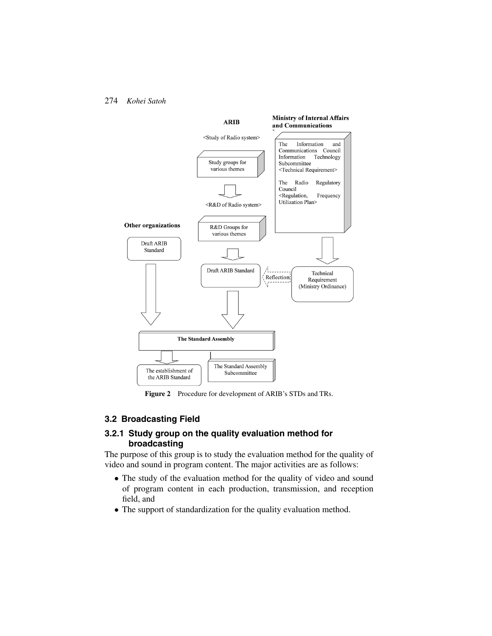

**Figure 2** Procedure for development of ARIB's STDs and TRs.

# **3.2 Broadcasting Field**

## **3.2.1 Study group on the quality evaluation method for broadcasting**

The purpose of this group is to study the evaluation method for the quality of video and sound in program content. The major activities are as follows:

- The study of the evaluation method for the quality of video and sound of program content in each production, transmission, and reception field, and
- The support of standardization for the quality evaluation method.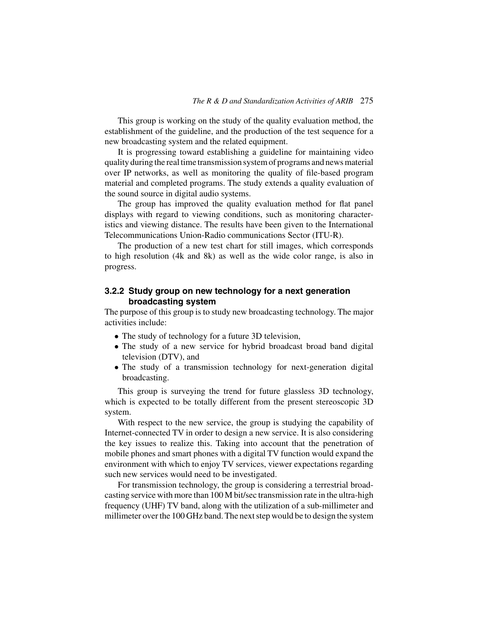This group is working on the study of the quality evaluation method, the establishment of the guideline, and the production of the test sequence for a new broadcasting system and the related equipment.

It is progressing toward establishing a guideline for maintaining video quality during the real time transmission system of programs and news material over IP networks, as well as monitoring the quality of file-based program material and completed programs. The study extends a quality evaluation of the sound source in digital audio systems.

The group has improved the quality evaluation method for flat panel displays with regard to viewing conditions, such as monitoring characteristics and viewing distance. The results have been given to the International Telecommunications Union-Radio communications Sector (ITU-R).

The production of a new test chart for still images, which corresponds to high resolution (4k and 8k) as well as the wide color range, is also in progress.

# **3.2.2 Study group on new technology for a next generation broadcasting system**

The purpose of this group is to study new broadcasting technology. The major activities include:

- The study of technology for a future 3D television,
- The study of a new service for hybrid broadcast broad band digital television (DTV), and
- The study of a transmission technology for next-generation digital broadcasting.

This group is surveying the trend for future glassless 3D technology, which is expected to be totally different from the present stereoscopic 3D system.

With respect to the new service, the group is studying the capability of Internet-connected TV in order to design a new service. It is also considering the key issues to realize this. Taking into account that the penetration of mobile phones and smart phones with a digital TV function would expand the environment with which to enjoy TV services, viewer expectations regarding such new services would need to be investigated.

For transmission technology, the group is considering a terrestrial broadcasting service with more than 100 M bit/sec transmission rate in the ultra-high frequency (UHF) TV band, along with the utilization of a sub-millimeter and millimeter over the 100 GHz band. The next step would be to design the system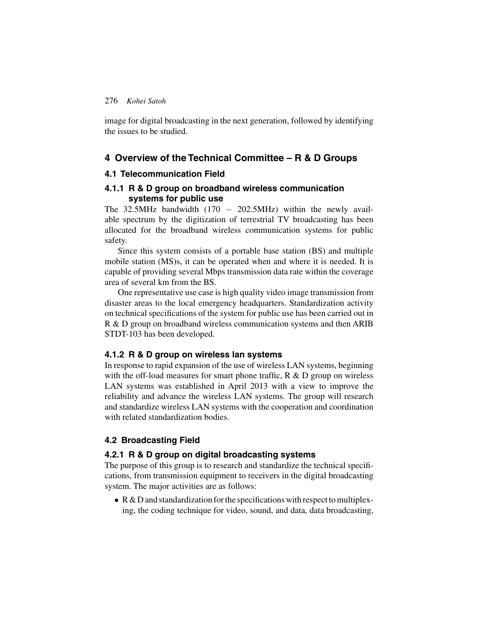image for digital broadcasting in the next generation, followed by identifying the issues to be studied.

## **4 Overview of the Technical Committee – R & D Groups**

#### **4.1 Telecommunication Field**

## **4.1.1 R & D group on broadband wireless communication systems for public use**

The 32.5MHz bandwidth  $(170 - 202.5)$ MHz) within the newly available spectrum by the digitization of terrestrial TV broadcasting has been allocated for the broadband wireless communication systems for public safety.

Since this system consists of a portable base station (BS) and multiple mobile station (MS)s, it can be operated when and where it is needed. It is capable of providing several Mbps transmission data rate within the coverage area of several km from the BS.

One representative use case is high quality video image transmission from disaster areas to the local emergency headquarters. Standardization activity on technical specifications of the system for public use has been carried out in R & D group on broadband wireless communication systems and then ARIB STDT-103 has been developed.

#### **4.1.2 R & D group on wireless lan systems**

In response to rapid expansion of the use of wireless LAN systems, beginning with the off-load measures for smart phone traffic,  $R & D$  group on wireless LAN systems was established in April 2013 with a view to improve the reliability and advance the wireless LAN systems. The group will research and standardize wireless LAN systems with the cooperation and coordination with related standardization bodies.

### **4.2 Broadcasting Field**

#### **4.2.1 R & D group on digital broadcasting systems**

The purpose of this group is to research and standardize the technical specifications, from transmission equipment to receivers in the digital broadcasting system. The major activities are as follows:

• R & D and standardization for the specifications with respect to multiplexing, the coding technique for video, sound, and data, data broadcasting,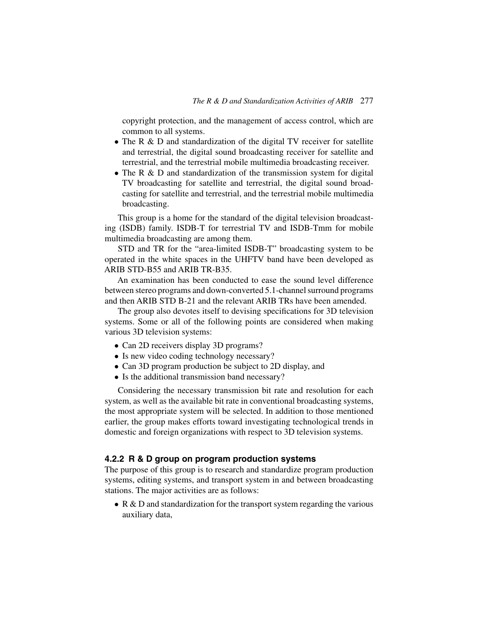copyright protection, and the management of access control, which are common to all systems.

- The R & D and standardization of the digital TV receiver for satellite and terrestrial, the digital sound broadcasting receiver for satellite and terrestrial, and the terrestrial mobile multimedia broadcasting receiver.
- The R & D and standardization of the transmission system for digital TV broadcasting for satellite and terrestrial, the digital sound broadcasting for satellite and terrestrial, and the terrestrial mobile multimedia broadcasting.

This group is a home for the standard of the digital television broadcasting (ISDB) family. ISDB-T for terrestrial TV and ISDB-Tmm for mobile multimedia broadcasting are among them.

STD and TR for the "area-limited ISDB-T" broadcasting system to be operated in the white spaces in the UHFTV band have been developed as ARIB STD-B55 and ARIB TR-B35.

An examination has been conducted to ease the sound level difference between stereo programs and down-converted 5.1-channel surround programs and then ARIB STD B-21 and the relevant ARIB TRs have been amended.

The group also devotes itself to devising specifications for 3D television systems. Some or all of the following points are considered when making various 3D television systems:

- Can 2D receivers display 3D programs?
- Is new video coding technology necessary?
- Can 3D program production be subject to 2D display, and
- Is the additional transmission band necessary?

Considering the necessary transmission bit rate and resolution for each system, as well as the available bit rate in conventional broadcasting systems, the most appropriate system will be selected. In addition to those mentioned earlier, the group makes efforts toward investigating technological trends in domestic and foreign organizations with respect to 3D television systems.

## **4.2.2 R & D group on program production systems**

The purpose of this group is to research and standardize program production systems, editing systems, and transport system in and between broadcasting stations. The major activities are as follows:

• R & D and standardization for the transport system regarding the various auxiliary data,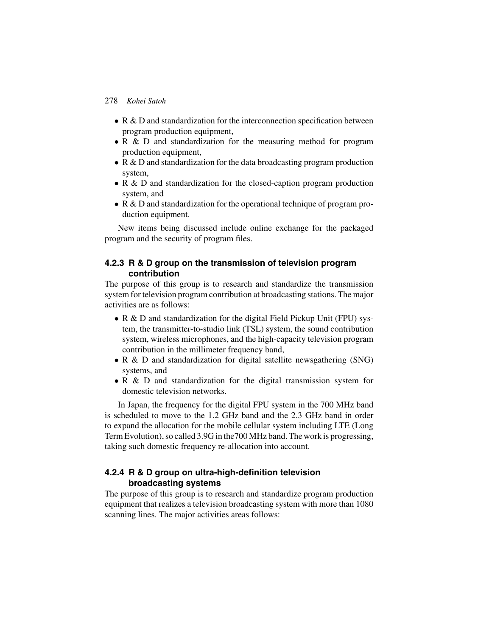- R & D and standardization for the interconnection specification between program production equipment,
- R & D and standardization for the measuring method for program production equipment,
- R & D and standardization for the data broadcasting program production system,
- R & D and standardization for the closed-caption program production system, and
- R & D and standardization for the operational technique of program production equipment.

New items being discussed include online exchange for the packaged program and the security of program files.

## **4.2.3 R & D group on the transmission of television program contribution**

The purpose of this group is to research and standardize the transmission system for television program contribution at broadcasting stations. The major activities are as follows:

- R & D and standardization for the digital Field Pickup Unit (FPU) system, the transmitter-to-studio link (TSL) system, the sound contribution system, wireless microphones, and the high-capacity television program contribution in the millimeter frequency band,
- R & D and standardization for digital satellite newsgathering (SNG) systems, and
- R & D and standardization for the digital transmission system for domestic television networks.

In Japan, the frequency for the digital FPU system in the 700 MHz band is scheduled to move to the 1.2 GHz band and the 2.3 GHz band in order to expand the allocation for the mobile cellular system including LTE (Long Term Evolution), so called 3.9G in the700 MHz band. The work is progressing, taking such domestic frequency re-allocation into account.

## **4.2.4 R & D group on ultra-high-definition television broadcasting systems**

The purpose of this group is to research and standardize program production equipment that realizes a television broadcasting system with more than 1080 scanning lines. The major activities areas follows: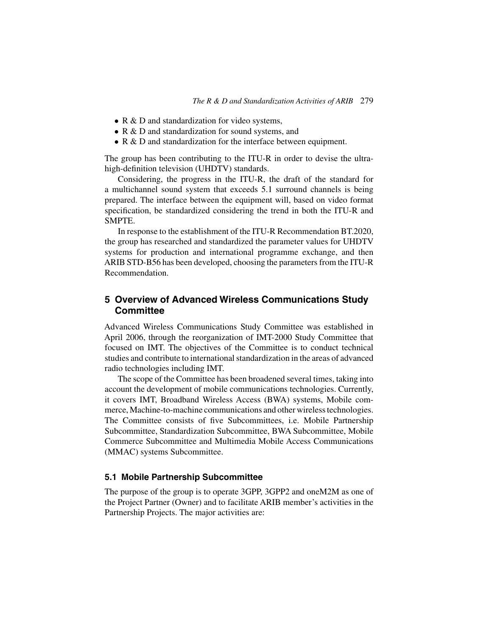- R & D and standardization for video systems,
- R & D and standardization for sound systems, and
- R & D and standardization for the interface between equipment.

The group has been contributing to the ITU-R in order to devise the ultrahigh-definition television (UHDTV) standards.

Considering, the progress in the ITU-R, the draft of the standard for a multichannel sound system that exceeds 5.1 surround channels is being prepared. The interface between the equipment will, based on video format specification, be standardized considering the trend in both the ITU-R and SMPTE.

In response to the establishment of the ITU-R Recommendation BT.2020, the group has researched and standardized the parameter values for UHDTV systems for production and international programme exchange, and then ARIB STD-B56 has been developed, choosing the parameters from the ITU-R Recommendation.

# **5 Overview of Advanced Wireless Communications Study Committee**

Advanced Wireless Communications Study Committee was established in April 2006, through the reorganization of IMT-2000 Study Committee that focused on IMT. The objectives of the Committee is to conduct technical studies and contribute to international standardization in the areas of advanced radio technologies including IMT.

The scope of the Committee has been broadened several times, taking into account the development of mobile communications technologies. Currently, it covers IMT, Broadband Wireless Access (BWA) systems, Mobile commerce, Machine-to-machine communications and other wireless technologies. The Committee consists of five Subcommittees, i.e. Mobile Partnership Subcommittee, Standardization Subcommittee, BWA Subcommittee, Mobile Commerce Subcommittee and Multimedia Mobile Access Communications (MMAC) systems Subcommittee.

## **5.1 Mobile Partnership Subcommittee**

The purpose of the group is to operate 3GPP, 3GPP2 and oneM2M as one of the Project Partner (Owner) and to facilitate ARIB member's activities in the Partnership Projects. The major activities are: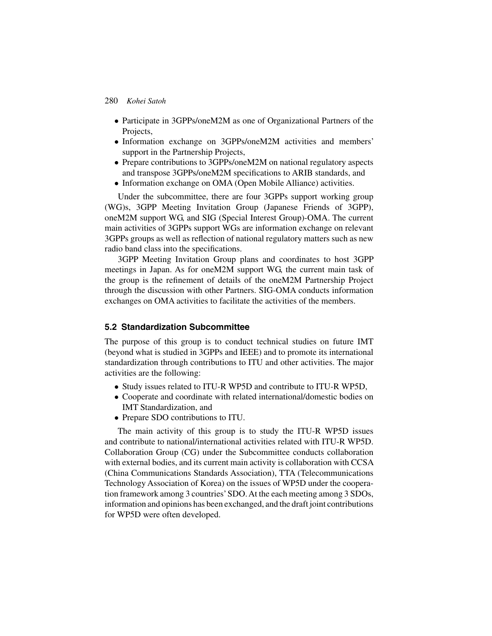- Participate in 3GPPs/oneM2M as one of Organizational Partners of the Projects,
- Information exchange on 3GPPs/oneM2M activities and members' support in the Partnership Projects,
- Prepare contributions to 3GPPs/oneM2M on national regulatory aspects and transpose 3GPPs/oneM2M specifications to ARIB standards, and
- Information exchange on OMA (Open Mobile Alliance) activities.

Under the subcommittee, there are four 3GPPs support working group (WG)s, 3GPP Meeting Invitation Group (Japanese Friends of 3GPP), oneM2M support WG, and SIG (Special Interest Group)-OMA. The current main activities of 3GPPs support WGs are information exchange on relevant 3GPPs groups as well as reflection of national regulatory matters such as new radio band class into the specifications.

3GPP Meeting Invitation Group plans and coordinates to host 3GPP meetings in Japan. As for oneM2M support WG, the current main task of the group is the refinement of details of the oneM2M Partnership Project through the discussion with other Partners. SIG-OMA conducts information exchanges on OMA activities to facilitate the activities of the members.

## **5.2 Standardization Subcommittee**

The purpose of this group is to conduct technical studies on future IMT (beyond what is studied in 3GPPs and IEEE) and to promote its international standardization through contributions to ITU and other activities. The major activities are the following:

- Study issues related to ITU-R WP5D and contribute to ITU-R WP5D,
- Cooperate and coordinate with related international/domestic bodies on IMT Standardization, and
- Prepare SDO contributions to ITU.

The main activity of this group is to study the ITU-R WP5D issues and contribute to national/international activities related with ITU-R WP5D. Collaboration Group (CG) under the Subcommittee conducts collaboration with external bodies, and its current main activity is collaboration with CCSA (China Communications Standards Association), TTA (Telecommunications Technology Association of Korea) on the issues of WP5D under the cooperation framework among 3 countries' SDO. At the each meeting among 3 SDOs, information and opinions has been exchanged, and the draft joint contributions for WP5D were often developed.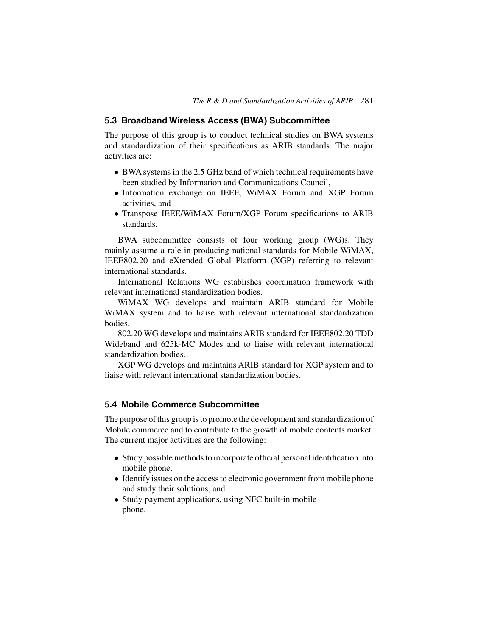#### **5.3 Broadband Wireless Access (BWA) Subcommittee**

The purpose of this group is to conduct technical studies on BWA systems and standardization of their specifications as ARIB standards. The major activities are:

- BWA systems in the 2.5 GHz band of which technical requirements have been studied by Information and Communications Council,
- Information exchange on IEEE, WiMAX Forum and XGP Forum activities, and
- Transpose IEEE/WiMAX Forum/XGP Forum specifications to ARIB standards.

BWA subcommittee consists of four working group (WG)s. They mainly assume a role in producing national standards for Mobile WiMAX, IEEE802.20 and eXtended Global Platform (XGP) referring to relevant international standards.

International Relations WG establishes coordination framework with relevant international standardization bodies.

WiMAX WG develops and maintain ARIB standard for Mobile WiMAX system and to liaise with relevant international standardization bodies.

802.20 WG develops and maintains ARIB standard for IEEE802.20 TDD Wideband and 625k-MC Modes and to liaise with relevant international standardization bodies.

XGP WG develops and maintains ARIB standard for XGP system and to liaise with relevant international standardization bodies.

#### **5.4 Mobile Commerce Subcommittee**

The purpose of this group is to promote the development and standardization of Mobile commerce and to contribute to the growth of mobile contents market. The current major activities are the following:

- Study possible methods to incorporate official personal identification into mobile phone,
- Identify issues on the access to electronic government from mobile phone and study their solutions, and
- Study payment applications, using NFC built-in mobile phone.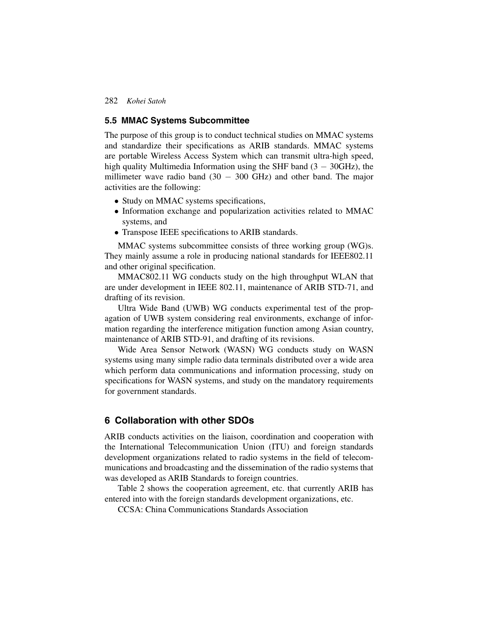#### **5.5 MMAC Systems Subcommittee**

The purpose of this group is to conduct technical studies on MMAC systems and standardize their specifications as ARIB standards. MMAC systems are portable Wireless Access System which can transmit ultra-high speed, high quality Multimedia Information using the SHF band  $(3 - 30$ GHz), the millimeter wave radio band  $(30 - 300$  GHz) and other band. The major activities are the following:

- Study on MMAC systems specifications,
- Information exchange and popularization activities related to MMAC systems, and
- Transpose IEEE specifications to ARIB standards.

MMAC systems subcommittee consists of three working group (WG)s. They mainly assume a role in producing national standards for IEEE802.11 and other original specification.

MMAC802.11 WG conducts study on the high throughput WLAN that are under development in IEEE 802.11, maintenance of ARIB STD-71, and drafting of its revision.

Ultra Wide Band (UWB) WG conducts experimental test of the propagation of UWB system considering real environments, exchange of information regarding the interference mitigation function among Asian country, maintenance of ARIB STD-91, and drafting of its revisions.

Wide Area Sensor Network (WASN) WG conducts study on WASN systems using many simple radio data terminals distributed over a wide area which perform data communications and information processing, study on specifications for WASN systems, and study on the mandatory requirements for government standards.

## **6 Collaboration with other SDOs**

ARIB conducts activities on the liaison, coordination and cooperation with the International Telecommunication Union (ITU) and foreign standards development organizations related to radio systems in the field of telecommunications and broadcasting and the dissemination of the radio systems that was developed as ARIB Standards to foreign countries.

Table 2 shows the cooperation agreement, etc. that currently ARIB has entered into with the foreign standards development organizations, etc.

CCSA: China Communications Standards Association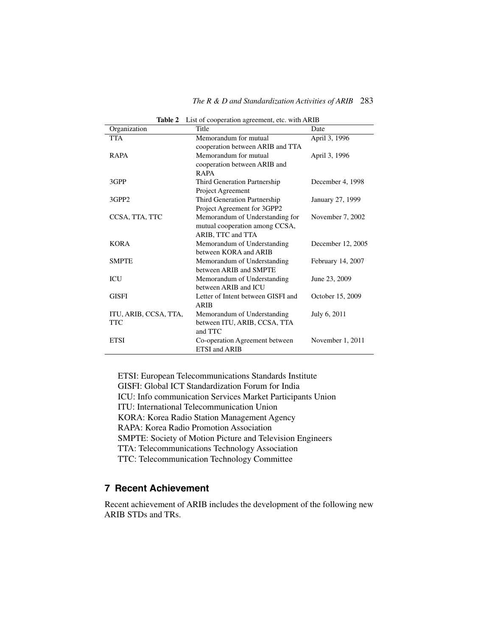| Organization          | Title                              | Date              |
|-----------------------|------------------------------------|-------------------|
| <b>TTA</b>            | Memorandum for mutual              | April 3, 1996     |
|                       | cooperation between ARIB and TTA   |                   |
| RAPA                  | Memorandum for mutual              | April 3, 1996     |
|                       | cooperation between ARIB and       |                   |
|                       | RAPA                               |                   |
| 3GPP                  | Third Generation Partnership       | December 4, 1998  |
|                       | Project Agreement                  |                   |
| 3GPP2                 | Third Generation Partnership       | January 27, 1999  |
|                       | Project Agreement for 3GPP2        |                   |
| CCSA, TTA, TTC        | Memorandum of Understanding for    | November 7, 2002  |
|                       | mutual cooperation among CCSA,     |                   |
|                       | ARIB, TTC and TTA                  |                   |
| <b>KORA</b>           | Memorandum of Understanding        | December 12, 2005 |
|                       | between KORA and ARIB              |                   |
| <b>SMPTE</b>          | Memorandum of Understanding        | February 14, 2007 |
|                       | between ARIB and SMPTE             |                   |
| ICU                   | Memorandum of Understanding        | June 23, 2009     |
|                       | between ARIB and ICU               |                   |
| GISFI                 | Letter of Intent between GISFI and | October 15, 2009  |
|                       | ARIB                               |                   |
| ITU, ARIB, CCSA, TTA, | Memorandum of Understanding        | July 6, 2011      |
| <b>TTC</b>            | between ITU, ARIB, CCSA, TTA       |                   |
|                       | and TTC                            |                   |
| <b>ETSI</b>           | Co-operation Agreement between     | November 1, 2011  |
|                       | ETSI and ARIB                      |                   |

**Table 2** List of cooperation agreement, etc. with ARIB

ETSI: European Telecommunications Standards Institute GISFI: Global ICT Standardization Forum for India ICU: Info communication Services Market Participants Union ITU: International Telecommunication Union KORA: Korea Radio Station Management Agency RAPA: Korea Radio Promotion Association SMPTE: Society of Motion Picture and Television Engineers TTA: Telecommunications Technology Association TTC: Telecommunication Technology Committee

# **7 Recent Achievement**

Recent achievement of ARIB includes the development of the following new ARIB STDs and TRs.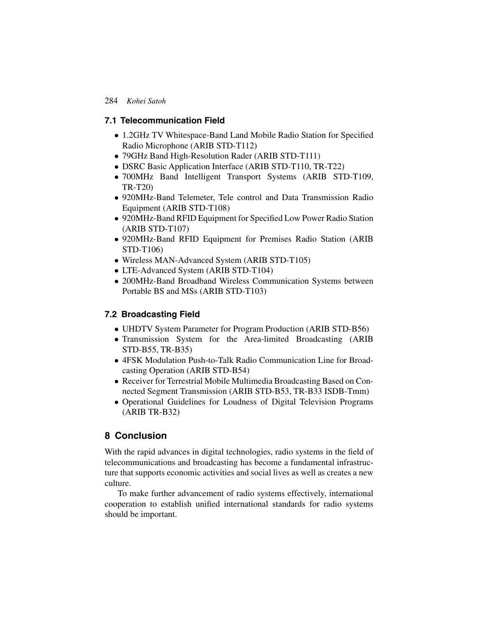### **7.1 Telecommunication Field**

- 1.2GHz TV Whitespace-Band Land Mobile Radio Station for Specified Radio Microphone (ARIB STD-T112)
- 79GHz Band High-Resolution Rader (ARIB STD-T111)
- DSRC Basic Application Interface (ARIB STD-T110, TR-T22)
- 700MHz Band Intelligent Transport Systems (ARIB STD-T109, TR-T20)
- 920MHz-Band Telemeter, Tele control and Data Transmission Radio Equipment (ARIB STD-T108)
- 920MHz-Band RFID Equipment for Specified Low Power Radio Station (ARIB STD-T107)
- 920MHz-Band RFID Equipment for Premises Radio Station (ARIB STD-T106)
- Wireless MAN-Advanced System (ARIB STD-T105)
- LTE-Advanced System (ARIB STD-T104)
- 200MHz-Band Broadband Wireless Communication Systems between Portable BS and MSs (ARIB STD-T103)

## **7.2 Broadcasting Field**

- UHDTV System Parameter for Program Production (ARIB STD-B56)
- Transmission System for the Area-limited Broadcasting (ARIB STD-B55, TR-B35)
- 4FSK Modulation Push-to-Talk Radio Communication Line for Broadcasting Operation (ARIB STD-B54)
- Receiver for Terrestrial Mobile Multimedia Broadcasting Based on Connected Segment Transmission (ARIB STD-B53, TR-B33 ISDB-Tmm)
- Operational Guidelines for Loudness of Digital Television Programs (ARIB TR-B32)

# **8 Conclusion**

With the rapid advances in digital technologies, radio systems in the field of telecommunications and broadcasting has become a fundamental infrastructure that supports economic activities and social lives as well as creates a new culture.

To make further advancement of radio systems effectively, international cooperation to establish unified international standards for radio systems should be important.